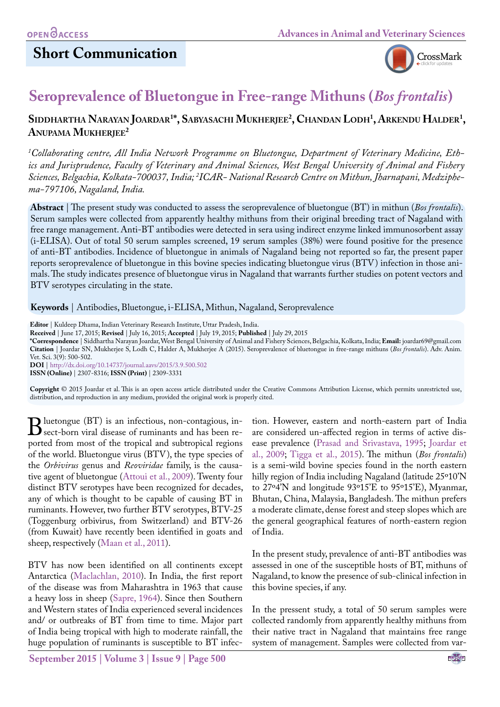# **Short Communication**



# **Seroprevalence of Bluetongue in Free-range Mithuns (***Bos frontalis***)**

#### **Siddhartha Narayan Joardar1 \*, Sabyasachi Mukherjee2 , Chandan Lodh1 , Arkendu Halder1 , Anupama Mukherjee2**

*1 Collaborating centre, All India Network Programme on Bluetongue, Department of Veterinary Medicine, Ethics and Jurisprudence, Faculty of Veterinary and Animal Sciences, West Bengal University of Animal and Fishery Sciences, Belgachia, Kolkata-700037, India; 2 ICAR- National Research Centre on Mithun, Jharnapani, Medziphema-797106, Nagaland, India.*

**Abstract** | The present study was conducted to assess the seroprevalence of bluetongue (BT) in mithun (*Bos frontalis*). Serum samples were collected from apparently healthy mithuns from their original breeding tract of Nagaland with free range management. Anti-BT antibodies were detected in sera using indirect enzyme linked immunosorbent assay (i-ELISA). Out of total 50 serum samples screened, 19 serum samples (38%) were found positive for the presence of anti-BT antibodies. Incidence of bluetongue in animals of Nagaland being not reported so far, the present paper reports seroprevalence of bluetongue in this bovine species indicating bluetongue virus (BTV) infection in those animals. The study indicates presence of bluetongue virus in Nagaland that warrants further studies on potent vectors and BTV serotypes circulating in the state.

**Keywords** | Antibodies, Bluetongue, i-ELISA, Mithun, Nagaland, Seroprevalence

**Editor** | Kuldeep Dhama, Indian Veterinary Research Institute, Uttar Pradesh, India.

**Received** | June 17, 2015; **Revised** | July 16, 2015; **Accepted** | July 19, 2015; **Published** | July 29, 2015

**\*Correspondence** | Siddhartha Narayan Joardar, West Bengal University of Animal and Fishery Sciences, Belgachia, Kolkata, India; **Email:** joardar69@gmail.com **Citation** | Joardar SN, Mukherjee S, Lodh C, Halder A, Mukherjee A (2015). Seroprevalence of bluetongue in free-range mithuns (*Bos frontalis*). Adv. Anim. Vet. Sci. 3(9): 500-502. **DOI** | <http://dx.doi.org/10.14737/journal.aavs/2015/3.9.500.502>

**ISSN (Online)** | 2307-8316; **ISSN (Print)** | 2309-3331

**Copyright** © 2015 Joardar et al. This is an open access article distributed under the Creative Commons Attribution License, which permits unrestricted use, distribution, and reproduction in any medium, provided the original work is properly cited.

Bluetongue (BT) is an infectious, non-contagious, in-<br>sect-born viral disease of ruminants and has been re-<br>ported from most of the tropical and subtropical regions ported from most of the tropical and subtropical regions of the world. Bluetongue virus (BTV), the type species of the *Orbivirus* genus and *Reoviridae* family, is the causative agent of bluetongue [\(Attoui et al., 2009\)](#page-2-0). Twenty four distinct BTV serotypes have been recognized for decades, any of which is thought to be capable of causing BT in ruminants. However, two further BTV serotypes, BTV-25 (Toggenburg orbivirus, from Switzerland) and BTV-26 (from Kuwait) have recently been identified in goats and sheep, respectively ([Maan et al., 2011\)](#page-2-1).

BTV has now been identified on all continents except Antarctica ([Maclachlan, 2010\)](#page-2-2). In India, the first report of the disease was from Maharashtra in 1963 that cause a heavy loss in sheep ([Sapre, 1964](#page-2-3)). Since then Southern and Western states of India experienced several incidences and/ or outbreaks of BT from time to time. Major part of India being tropical with high to moderate rainfall, the huge population of ruminants is susceptible to BT infec-

tion. However, eastern and north-eastern part of India are considered un-affected region in terms of active disease prevalence [\(Prasad and Srivastava, 1995](#page-2-4); [Joardar et](#page-2-5)  [al., 2009;](#page-2-5) [Tigga et al., 2015](#page-2-6)). The mithun (*Bos frontalis*) is a semi-wild bovine species found in the north eastern hilly region of India including Nagaland (latitude 25°10'N to 27º4'N and longitude 93º15'E to 95º15'E), Myanmar, Bhutan, China, Malaysia, Bangladesh. The mithun prefers a moderate climate, dense forest and steep slopes which are the general geographical features of north-eastern region of India.

In the present study, prevalence of anti-BT antibodies was assessed in one of the susceptible hosts of BT, mithuns of Nagaland, to know the presence of sub-clinical infection in this bovine species, if any.

In the pressent study, a total of 50 serum samples were collected randomly from apparently healthy mithuns from their native tract in Nagaland that maintains free range system of management. Samples were collected from var-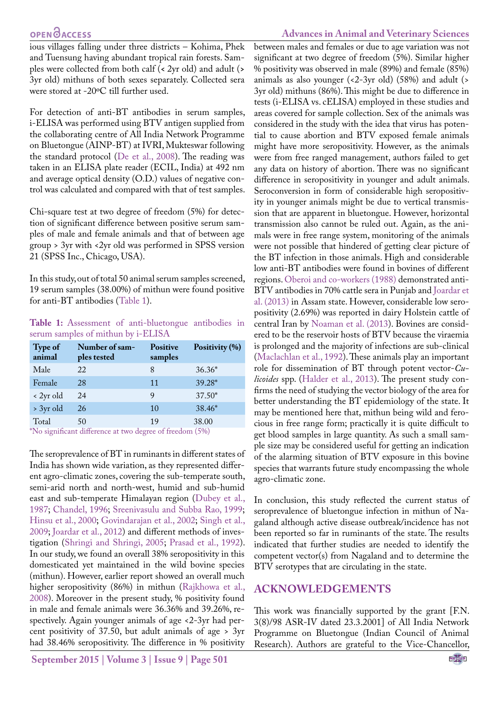### **OPEN**OACCESS

ious villages falling under three districts – Kohima, Phek and Tuensung having abundant tropical rain forests. Samples were collected from both calf (**<** 2yr old) and adult (**>**  3yr old) mithuns of both sexes separately. Collected sera were stored at -20ºC till further used.

For detection of anti-BT antibodies in serum samples, i-ELISA was performed using BTV antigen supplied from the collaborating centre of All India Network Programme on Bluetongue (AINP-BT) at IVRI, Mukteswar following the standard protocol ([De et al., 2008](#page-2-7)). The reading was taken in an ELISA plate reader (ECIL, India) at 492 nm and average optical density (O.D.) values of negative control was calculated and compared with that of test samples.

Chi-square test at two degree of freedom (5%) for detection of significant difference between positive serum samples of male and female animals and that of between age group > 3yr with <2yr old was performed in SPSS version 21 (SPSS Inc., Chicago, USA).

In this study, out of total 50 animal serum samples screened, 19 serum samples (38.00%) of mithun were found positive for anti-BT antibodies ([Table 1\)](#page-1-0).

<span id="page-1-0"></span>**Table 1:** Assessment of anti-bluetongue antibodies in serum samples of mithun by i-ELISA

| <b>Type of</b><br>animal | Number of sam-<br>ples tested | <b>Positive</b><br>samples | Positivity (%) |
|--------------------------|-------------------------------|----------------------------|----------------|
| Male                     | 22                            | 8                          | $36.36*$       |
| Female                   | 28                            | 11                         | 39.28*         |
| $\langle$ 2yr old        | 24                            | 9                          | $37.50*$       |
| > 3yr old                | 26                            | 10                         | 38.46*         |
| Total                    | 50                            | 19                         | 38.00          |

\*No significant difference at two degree of freedom (5%)

The seroprevalence of BT in ruminants in different states of India has shown wide variation, as they represented different agro-climatic zones, covering the sub-temperate south, semi-arid north and north-west, humid and sub-humid east and sub-temperate Himalayan region ([Dubey et al.,](#page-2-8) [1987](#page-2-8); [Chandel, 1996;](#page-2-9) [Sreenivasulu and Subba Rao, 1999;](#page-2-10) [Hinsu et al., 2000;](#page-2-11) [Govindarajan et al., 2002;](#page-2-12) [Singh et al.,](#page-2-13) [2009](#page-2-13); [Joardar et al., 2012\)](#page-2-14) and different methods of investigation [\(Shringi and Shringi, 2005](#page-2-15); [Prasad et al., 1992\)](#page-2-16). In our study, we found an overall 38% seropositivity in this domesticated yet maintained in the wild bovine species (mithun). However, earlier report showed an overall much higher seropositivity (86%) in mithun [\(Rajkhowa et al.,](#page-2-17) [2008](#page-2-17)). Moreover in the present study, % positivity found in male and female animals were 36.36% and 39.26%, respectively. Again younger animals of age <2-3yr had percent positivity of 37.50, but adult animals of age > 3yr had 38.46% seropositivity. The difference in % positivity

**September 2015 | Volume 3 | Issue 9 | Page 501**

between males and females or due to age variation was not significant at two degree of freedom (5%). Similar higher % positivity was observed in male (89%) and female (85%) animals as also younger  $(\langle 2-3yr \text{ old} \rangle)$  (58%) and adult  $(\rangle$ 3yr old) mithuns (86%). This might be due to difference in tests (i-ELISA vs. cELISA) employed in these studies and areas covered for sample collection. Sex of the animals was considered in the study with the idea that virus has potential to cause abortion and BTV exposed female animals might have more seropositivity. However, as the animals were from free ranged management, authors failed to get any data on history of abortion. There was no significant difference in seropositivity in younger and adult animals. Seroconversion in form of considerable high seropositivity in younger animals might be due to vertical transmission that are apparent in bluetongue. However, horizontal transmission also cannot be ruled out. Again, as the animals were in free range system, monitoring of the animals were not possible that hindered of getting clear picture of the BT infection in those animals. High and considerable low anti-BT antibodies were found in bovines of different regions. [Oberoi and co-workers \(1988\)](#page-2-18) demonstrated anti-BTV antibodies in 70% cattle sera in Punjab and [Joardar et](#page-2-19)  [al. \(2013\)](#page-2-19) in Assam state. However, considerable low seropositivity (2.69%) was reported in dairy Holstein cattle of central Iran by [Noaman et al. \(2013](#page-2-20)). Bovines are considered to be the reservoir hosts of BTV because the viraemia is prolonged and the majority of infections are sub-clinical [\(Maclachlan et al., 1992](#page-2-21)). These animals play an important role for dissemination of BT through potent vector-*Culicoides* spp. ([Halder et al., 2013](#page-2-22)). The present study confirms the need of studying the vector biology of the area for better understanding the BT epidemiology of the state. It may be mentioned here that, mithun being wild and ferocious in free range form; practically it is quite difficult to get blood samples in large quantity. As such a small sample size may be considered useful for getting an indication of the alarming situation of BTV exposure in this bovine species that warrants future study encompassing the whole agro-climatic zone.

In conclusion, this study reflected the current status of seroprevalence of bluetongue infection in mithun of Nagaland although active disease outbreak/incidence has not been reported so far in ruminants of the state. The results indicated that further studies are needed to identify the competent vector(s) from Nagaland and to determine the BTV serotypes that are circulating in the state.

#### **ACKNOWLEDGEMENTS**

This work was financially supported by the grant [F.N. 3(8)/98 ASR-IV dated 23.3.2001] of All India Network Programme on Bluetongue (Indian Council of Animal Research). Authors are grateful to the Vice-Chancellor,